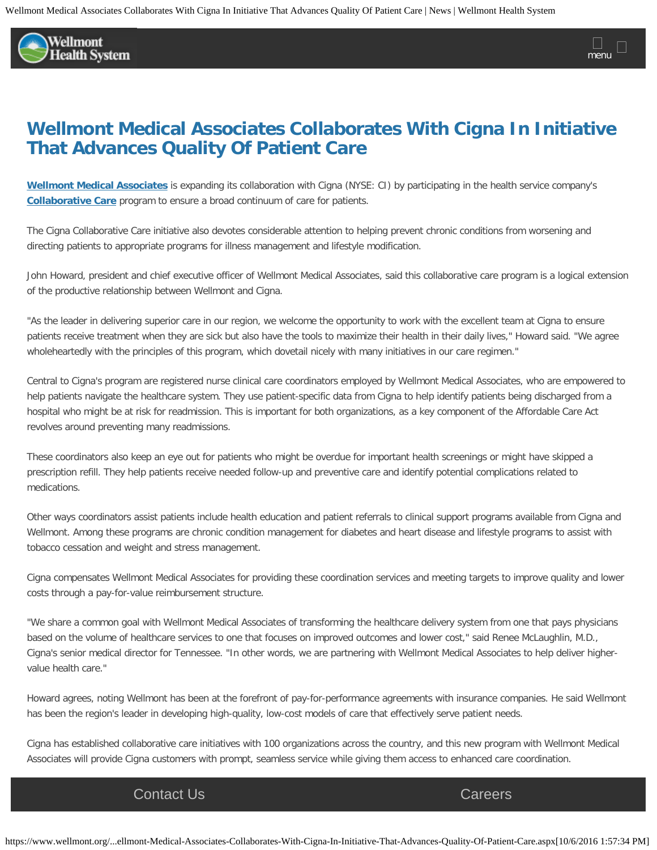

## **Wellmont Medical Associates Collaborates With Cigna In Initiative That Advances Quality Of Patient Care**

**[Wellmont Medical Associates](http://www.wellmont.org/Wellmont-Physicians/Wellmont-Medical-Associates/)** is expanding its collaboration with Cigna (NYSE: CI) by participating in the health service company's **[Collaborative Care](http://newsroom.cigna.com/KnowledgeCenter/ACO/)** program to ensure a broad continuum of care for patients.

The Cigna Collaborative Care initiative also devotes considerable attention to helping prevent chronic conditions from worsening and directing patients to appropriate programs for illness management and lifestyle modification.

John Howard, president and chief executive officer of Wellmont Medical Associates, said this collaborative care program is a logical extension of the productive relationship between Wellmont and Cigna.

"As the leader in delivering superior care in our region, we welcome the opportunity to work with the excellent team at Cigna to ensure patients receive treatment when they are sick but also have the tools to maximize their health in their daily lives," Howard said. "We agree wholeheartedly with the principles of this program, which dovetail nicely with many initiatives in our care regimen."

Central to Cigna's program are registered nurse clinical care coordinators employed by Wellmont Medical Associates, who are empowered to help patients navigate the healthcare system. They use patient-specific data from Cigna to help identify patients being discharged from a hospital who might be at risk for readmission. This is important for both organizations, as a key component of the Affordable Care Act revolves around preventing many readmissions.

These coordinators also keep an eye out for patients who might be overdue for important health screenings or might have skipped a prescription refill. They help patients receive needed follow-up and preventive care and identify potential complications related to medications.

Other ways coordinators assist patients include health education and patient referrals to clinical support programs available from Cigna and Wellmont. Among these programs are chronic condition management for diabetes and heart disease and lifestyle programs to assist with tobacco cessation and weight and stress management.

Cigna compensates Wellmont Medical Associates for providing these coordination services and meeting targets to improve quality and lower costs through a pay-for-value reimbursement structure.

"We share a common goal with Wellmont Medical Associates of transforming the healthcare delivery system from one that pays physicians based on the volume of healthcare services to one that focuses on improved outcomes and lower cost," said Renee McLaughlin, M.D., Cigna's senior medical director for Tennessee. "In other words, we are partnering with Wellmont Medical Associates to help deliver highervalue health care."

Howard agrees, noting Wellmont has been at the forefront of pay-for-performance agreements with insurance companies. He said Wellmont has been the region's leader in developing high-quality, low-cost models of care that effectively serve patient needs.

Cigna has established collaborative care initiatives with 100 organizations across the country, and this new program with Wellmont Medical Associates will provide Cigna customers with prompt, seamless service while giving them access to enhanced care coordination.

## Those who use who use multiple for the cater cater insurance can also use multiple for the cater that cater that cater their lives. Corrected that cater that cater that cater their lives of the cater that cater the cater t **[Contact Us](https://www.wellmont.org/MyWellmont/Contact-Us/) [Careers](https://www.wellmont.org/Careers/)** Contact Us **Careers**